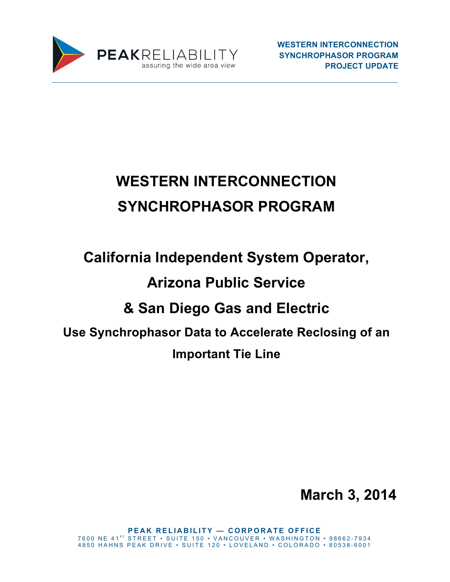

# **WESTERN INTERCONNECTION SYNCHROPHASOR PROGRAM**

# **California Independent System Operator, Arizona Public Service & San Diego Gas and Electric Use Synchrophasor Data to Accelerate Reclosing of an Important Tie Line**

**March 3, 2014**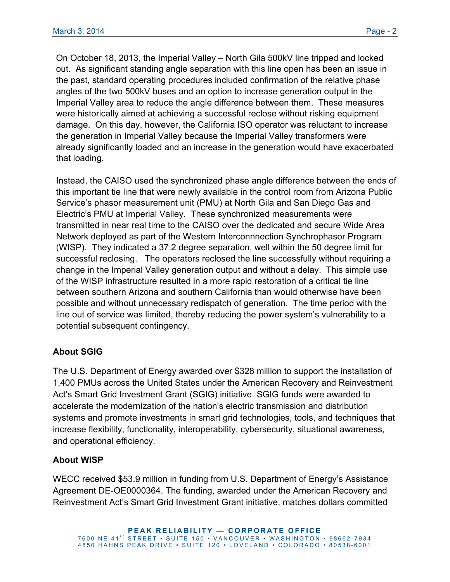On October 18, 2013, the Imperial Valley – North Gila 500kV line tripped and locked out. As significant standing angle separation with this line open has been an issue in the past, standard operating procedures included confirmation of the relative phase angles of the two 500kV buses and an option to increase generation output in the Imperial Valley area to reduce the angle difference between them. These measures were historically aimed at achieving a successful reclose without risking equipment damage. On this day, however, the California ISO operator was reluctant to increase the generation in Imperial Valley because the Imperial Valley transformers were already significantly loaded and an increase in the generation would have exacerbated that loading.

Instead, the CAISO used the synchronized phase angle difference between the ends of this important tie line that were newly available in the control room from Arizona Public Service's phasor measurement unit (PMU) at North Gila and San Diego Gas and Electric's PMU at Imperial Valley. These synchronized measurements were transmitted in near real time to the CAISO over the dedicated and secure Wide Area Network deployed as part of the Western Interconnnection Synchrophasor Program (WISP). They indicated a 37.2 degree separation, well within the 50 degree limit for successful reclosing. The operators reclosed the line successfully without requiring a change in the Imperial Valley generation output and without a delay. This simple use of the WISP infrastructure resulted in a more rapid restoration of a critical tie line between southern Arizona and southern California than would otherwise have been possible and without unnecessary redispatch of generation. The time period with the line out of service was limited, thereby reducing the power system's vulnerability to a potential subsequent contingency.

# **About SGIG**

The U.S. Department of Energy awarded over \$328 million to support the installation of 1,400 PMUs across the United States under the American Recovery and Reinvestment Act's Smart Grid Investment Grant (SGIG) initiative. SGIG funds were awarded to accelerate the modernization of the nation's electric transmission and distribution systems and promote investments in smart grid technologies, tools, and techniques that increase flexibility, functionality, interoperability, cybersecurity, situational awareness, and operational efficiency.

## **About WISP**

WECC received \$53.9 million in funding from U.S. Department of Energy's Assistance Agreement DE-OE0000364. The funding, awarded under the American Recovery and Reinvestment Act's Smart Grid Investment Grant initiative, matches dollars committed